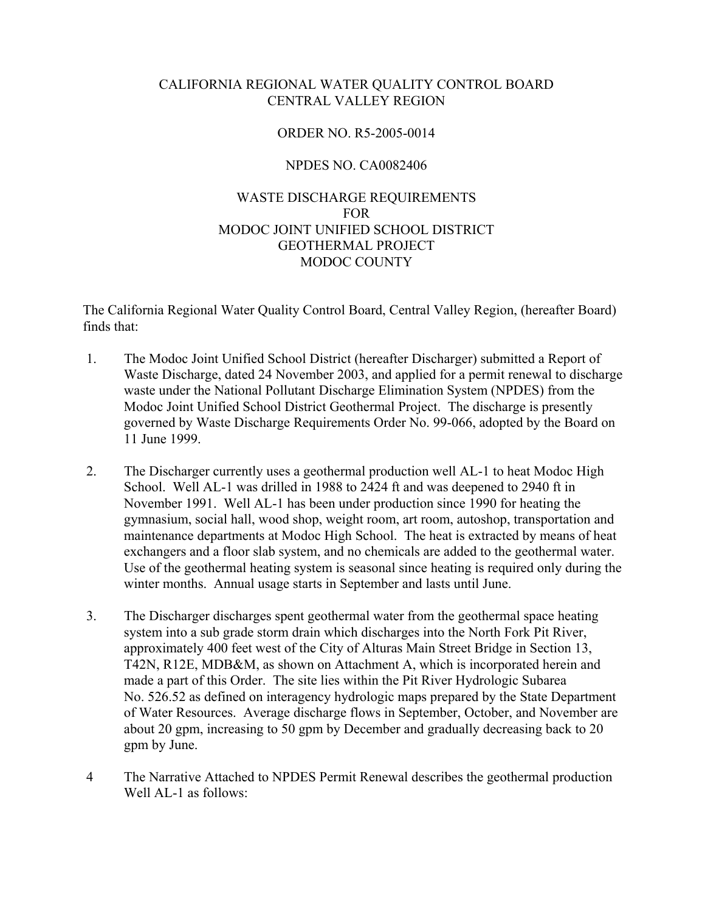## CALIFORNIA REGIONAL WATER QUALITY CONTROL BOARD CENTRAL VALLEY REGION

## ORDER NO. R5-2005-0014

### NPDES NO. CA0082406

### WASTE DISCHARGE REQUIREMENTS FOR MODOC JOINT UNIFIED SCHOOL DISTRICT GEOTHERMAL PROJECT MODOC COUNTY

The California Regional Water Quality Control Board, Central Valley Region, (hereafter Board) finds that:

- 1. The Modoc Joint Unified School District (hereafter Discharger) submitted a Report of Waste Discharge, dated 24 November 2003, and applied for a permit renewal to discharge waste under the National Pollutant Discharge Elimination System (NPDES) from the Modoc Joint Unified School District Geothermal Project. The discharge is presently governed by Waste Discharge Requirements Order No. 99-066, adopted by the Board on 11 June 1999.
- 2. The Discharger currently uses a geothermal production well AL-1 to heat Modoc High School. Well AL-1 was drilled in 1988 to 2424 ft and was deepened to 2940 ft in November 1991. Well AL-1 has been under production since 1990 for heating the gymnasium, social hall, wood shop, weight room, art room, autoshop, transportation and maintenance departments at Modoc High School. The heat is extracted by means of heat exchangers and a floor slab system, and no chemicals are added to the geothermal water. Use of the geothermal heating system is seasonal since heating is required only during the winter months. Annual usage starts in September and lasts until June.
- 3. The Discharger discharges spent geothermal water from the geothermal space heating system into a sub grade storm drain which discharges into the North Fork Pit River, approximately 400 feet west of the City of Alturas Main Street Bridge in Section 13, T42N, R12E, MDB&M, as shown on Attachment A, which is incorporated herein and made a part of this Order. The site lies within the Pit River Hydrologic Subarea No. 526.52 as defined on interagency hydrologic maps prepared by the State Department of Water Resources. Average discharge flows in September, October, and November are about 20 gpm, increasing to 50 gpm by December and gradually decreasing back to 20 gpm by June.
- 4 The Narrative Attached to NPDES Permit Renewal describes the geothermal production Well AL-1 as follows: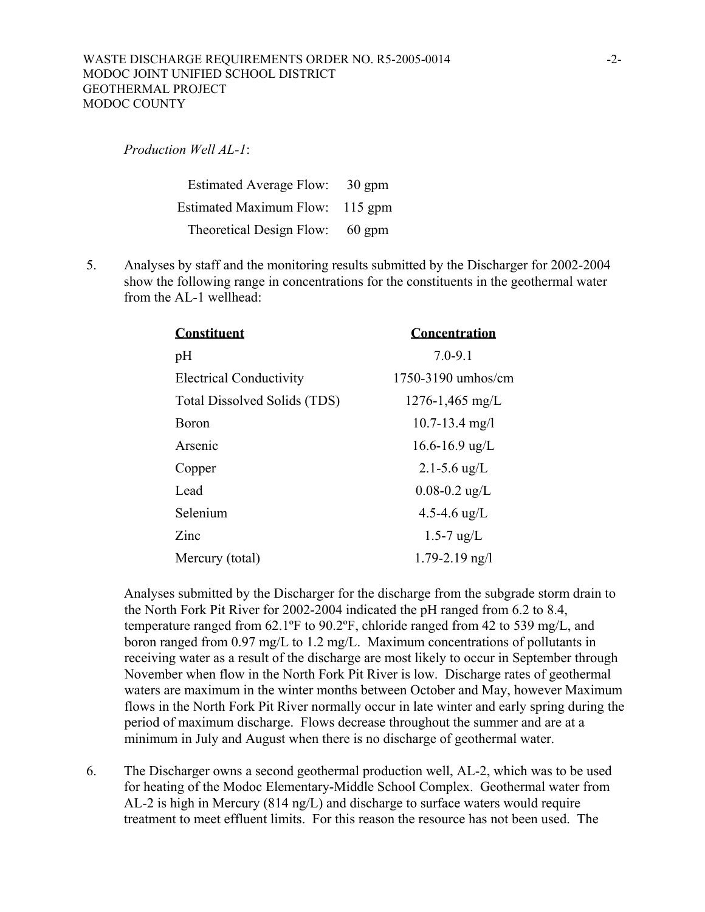*Production Well AL-1*:

Estimated Average Flow: 30 gpm Estimated Maximum Flow: 115 gpm Theoretical Design Flow: 60 gpm

 5. Analyses by staff and the monitoring results submitted by the Discharger for 2002-2004 show the following range in concentrations for the constituents in the geothermal water from the AL-1 wellhead:

| <b>Constituent</b>             | Concentration        |
|--------------------------------|----------------------|
| pH                             | $7.0 - 9.1$          |
| <b>Electrical Conductivity</b> | $1750-3190$ umhos/cm |
| Total Dissolved Solids (TDS)   | $1276 - 1,465$ mg/L  |
| Boron                          | $10.7 - 13.4$ mg/l   |
| Arsenic                        | $16.6 - 16.9$ ug/L   |
| Copper                         | 2.1-5.6 $\mu$ g/L    |
| Lead                           | $0.08 - 0.2$ ug/L    |
| Selenium                       | 4.5-4.6 $\mu$ g/L    |
| Zinc                           | $1.5 - 7$ ug/L       |
| Mercury (total)                | $1.79 - 2.19$ ng/l   |

 Analyses submitted by the Discharger for the discharge from the subgrade storm drain to the North Fork Pit River for 2002-2004 indicated the pH ranged from 6.2 to 8.4, temperature ranged from 62.1ºF to 90.2ºF, chloride ranged from 42 to 539 mg/L, and boron ranged from 0.97 mg/L to 1.2 mg/L. Maximum concentrations of pollutants in receiving water as a result of the discharge are most likely to occur in September through November when flow in the North Fork Pit River is low. Discharge rates of geothermal waters are maximum in the winter months between October and May, however Maximum flows in the North Fork Pit River normally occur in late winter and early spring during the period of maximum discharge. Flows decrease throughout the summer and are at a minimum in July and August when there is no discharge of geothermal water.

 6. The Discharger owns a second geothermal production well, AL-2, which was to be used for heating of the Modoc Elementary-Middle School Complex. Geothermal water from AL-2 is high in Mercury (814 ng/L) and discharge to surface waters would require treatment to meet effluent limits. For this reason the resource has not been used. The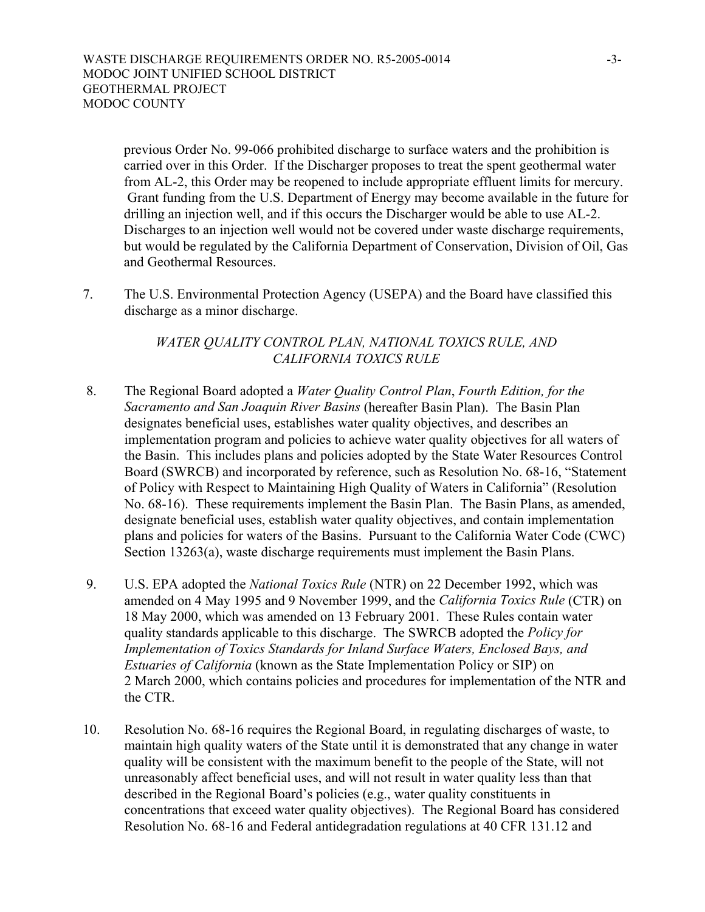previous Order No. 99-066 prohibited discharge to surface waters and the prohibition is carried over in this Order. If the Discharger proposes to treat the spent geothermal water from AL-2, this Order may be reopened to include appropriate effluent limits for mercury. Grant funding from the U.S. Department of Energy may become available in the future for drilling an injection well, and if this occurs the Discharger would be able to use AL-2. Discharges to an injection well would not be covered under waste discharge requirements, but would be regulated by the California Department of Conservation, Division of Oil, Gas and Geothermal Resources.

7. The U.S. Environmental Protection Agency (USEPA) and the Board have classified this discharge as a minor discharge.

## *WATER QUALITY CONTROL PLAN, NATIONAL TOXICS RULE, AND CALIFORNIA TOXICS RULE*

- 8. The Regional Board adopted a *Water Quality Control Plan*, *Fourth Edition, for the Sacramento and San Joaquin River Basins* (hereafter Basin Plan). The Basin Plan designates beneficial uses, establishes water quality objectives, and describes an implementation program and policies to achieve water quality objectives for all waters of the Basin. This includes plans and policies adopted by the State Water Resources Control Board (SWRCB) and incorporated by reference, such as Resolution No. 68-16, "Statement of Policy with Respect to Maintaining High Quality of Waters in California" (Resolution No. 68-16). These requirements implement the Basin Plan. The Basin Plans, as amended, designate beneficial uses, establish water quality objectives, and contain implementation plans and policies for waters of the Basins. Pursuant to the California Water Code (CWC) Section 13263(a), waste discharge requirements must implement the Basin Plans.
- 9. U.S. EPA adopted the *National Toxics Rule* (NTR) on 22 December 1992, which was amended on 4 May 1995 and 9 November 1999, and the *California Toxics Rule* (CTR) on 18 May 2000, which was amended on 13 February 2001. These Rules contain water quality standards applicable to this discharge. The SWRCB adopted the *Policy for Implementation of Toxics Standards for Inland Surface Waters, Enclosed Bays, and Estuaries of California* (known as the State Implementation Policy or SIP) on 2 March 2000, which contains policies and procedures for implementation of the NTR and the CTR.
- 10. Resolution No. 68-16 requires the Regional Board, in regulating discharges of waste, to maintain high quality waters of the State until it is demonstrated that any change in water quality will be consistent with the maximum benefit to the people of the State, will not unreasonably affect beneficial uses, and will not result in water quality less than that described in the Regional Board's policies (e.g., water quality constituents in concentrations that exceed water quality objectives). The Regional Board has considered Resolution No. 68-16 and Federal antidegradation regulations at 40 CFR 131.12 and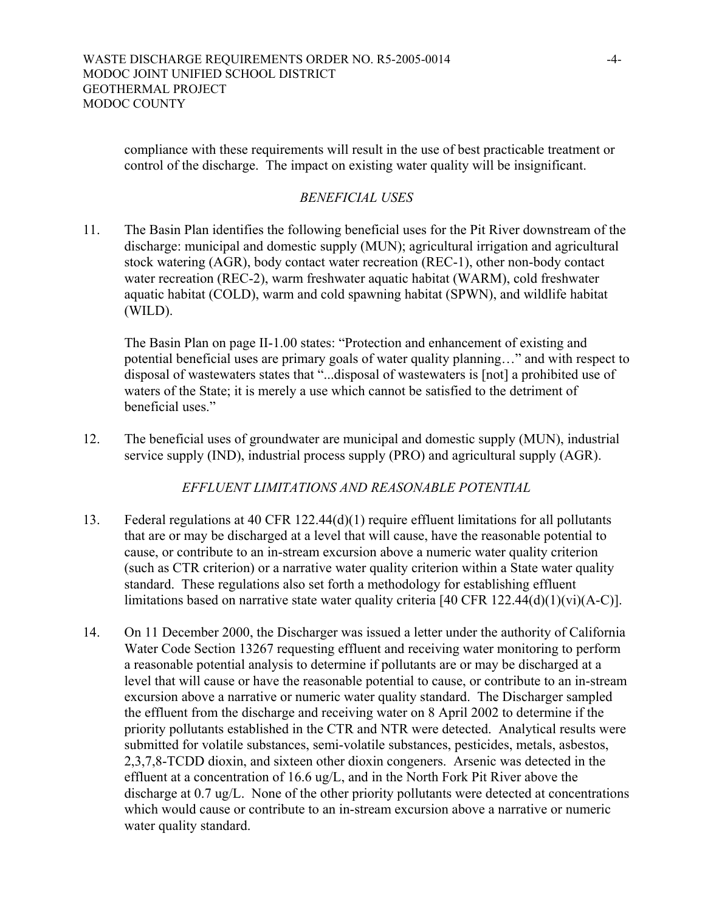compliance with these requirements will result in the use of best practicable treatment or control of the discharge. The impact on existing water quality will be insignificant.

# *BENEFICIAL USES*

11. The Basin Plan identifies the following beneficial uses for the Pit River downstream of the discharge: municipal and domestic supply (MUN); agricultural irrigation and agricultural stock watering (AGR), body contact water recreation (REC-1), other non-body contact water recreation (REC-2), warm freshwater aquatic habitat (WARM), cold freshwater aquatic habitat (COLD), warm and cold spawning habitat (SPWN), and wildlife habitat (WILD).

 The Basin Plan on page II-1.00 states: "Protection and enhancement of existing and potential beneficial uses are primary goals of water quality planning…" and with respect to disposal of wastewaters states that "...disposal of wastewaters is [not] a prohibited use of waters of the State; it is merely a use which cannot be satisfied to the detriment of beneficial uses."

12. The beneficial uses of groundwater are municipal and domestic supply (MUN), industrial service supply (IND), industrial process supply (PRO) and agricultural supply (AGR).

*EFFLUENT LIMITATIONS AND REASONABLE POTENTIAL* 

- 13. Federal regulations at 40 CFR 122.44(d)(1) require effluent limitations for all pollutants that are or may be discharged at a level that will cause, have the reasonable potential to cause, or contribute to an in-stream excursion above a numeric water quality criterion (such as CTR criterion) or a narrative water quality criterion within a State water quality standard. These regulations also set forth a methodology for establishing effluent limitations based on narrative state water quality criteria [40 CFR 122.44(d)(1)(vi)(A-C)].
- 14. On 11 December 2000, the Discharger was issued a letter under the authority of California Water Code Section 13267 requesting effluent and receiving water monitoring to perform a reasonable potential analysis to determine if pollutants are or may be discharged at a level that will cause or have the reasonable potential to cause, or contribute to an in-stream excursion above a narrative or numeric water quality standard. The Discharger sampled the effluent from the discharge and receiving water on 8 April 2002 to determine if the priority pollutants established in the CTR and NTR were detected. Analytical results were submitted for volatile substances, semi-volatile substances, pesticides, metals, asbestos, 2,3,7,8-TCDD dioxin, and sixteen other dioxin congeners. Arsenic was detected in the effluent at a concentration of 16.6 ug/L, and in the North Fork Pit River above the discharge at 0.7 ug/L. None of the other priority pollutants were detected at concentrations which would cause or contribute to an in-stream excursion above a narrative or numeric water quality standard.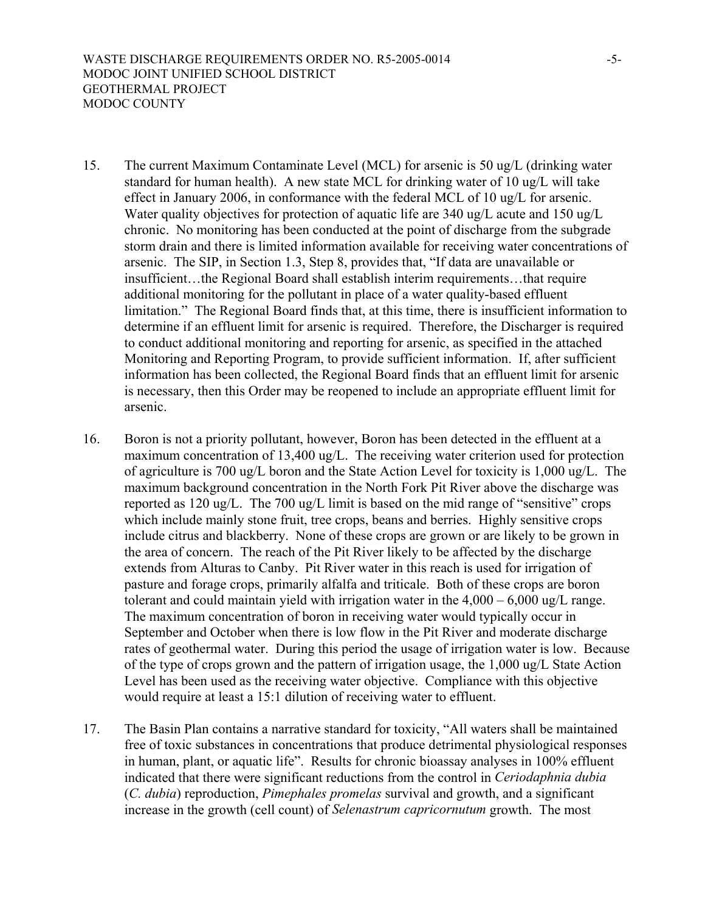- 15. The current Maximum Contaminate Level (MCL) for arsenic is 50 ug/L (drinking water standard for human health). A new state MCL for drinking water of 10 ug/L will take effect in January 2006, in conformance with the federal MCL of 10 ug/L for arsenic. Water quality objectives for protection of aquatic life are 340 ug/L acute and 150 ug/L chronic. No monitoring has been conducted at the point of discharge from the subgrade storm drain and there is limited information available for receiving water concentrations of arsenic. The SIP, in Section 1.3, Step 8, provides that, "If data are unavailable or insufficient…the Regional Board shall establish interim requirements…that require additional monitoring for the pollutant in place of a water quality-based effluent limitation." The Regional Board finds that, at this time, there is insufficient information to determine if an effluent limit for arsenic is required. Therefore, the Discharger is required to conduct additional monitoring and reporting for arsenic, as specified in the attached Monitoring and Reporting Program, to provide sufficient information. If, after sufficient information has been collected, the Regional Board finds that an effluent limit for arsenic is necessary, then this Order may be reopened to include an appropriate effluent limit for arsenic.
- 16. Boron is not a priority pollutant, however, Boron has been detected in the effluent at a maximum concentration of 13,400 ug/L. The receiving water criterion used for protection of agriculture is 700 ug/L boron and the State Action Level for toxicity is 1,000 ug/L. The maximum background concentration in the North Fork Pit River above the discharge was reported as 120 ug/L. The 700 ug/L limit is based on the mid range of "sensitive" crops which include mainly stone fruit, tree crops, beans and berries. Highly sensitive crops include citrus and blackberry. None of these crops are grown or are likely to be grown in the area of concern. The reach of the Pit River likely to be affected by the discharge extends from Alturas to Canby. Pit River water in this reach is used for irrigation of pasture and forage crops, primarily alfalfa and triticale. Both of these crops are boron tolerant and could maintain yield with irrigation water in the  $4,000 - 6,000$  ug/L range. The maximum concentration of boron in receiving water would typically occur in September and October when there is low flow in the Pit River and moderate discharge rates of geothermal water. During this period the usage of irrigation water is low. Because of the type of crops grown and the pattern of irrigation usage, the 1,000 ug/L State Action Level has been used as the receiving water objective. Compliance with this objective would require at least a 15:1 dilution of receiving water to effluent.
- 17. The Basin Plan contains a narrative standard for toxicity, "All waters shall be maintained free of toxic substances in concentrations that produce detrimental physiological responses in human, plant, or aquatic life". Results for chronic bioassay analyses in 100% effluent indicated that there were significant reductions from the control in *Ceriodaphnia dubia* (*C. dubia*) reproduction, *Pimephales promelas* survival and growth, and a significant increase in the growth (cell count) of *Selenastrum capricornutum* growth. The most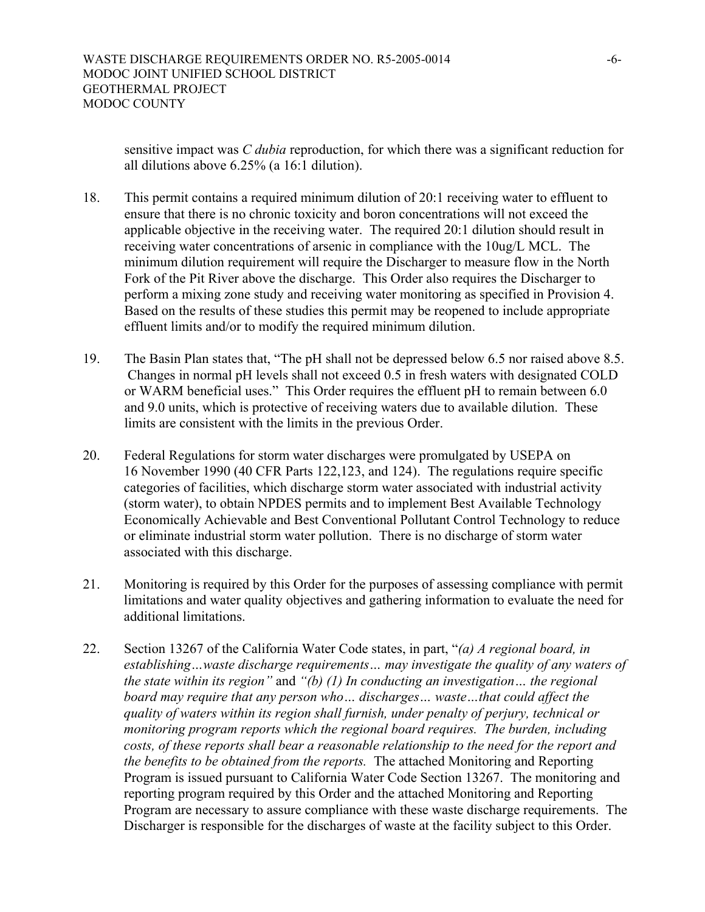sensitive impact was *C dubia* reproduction, for which there was a significant reduction for all dilutions above 6.25% (a 16:1 dilution).

- 18. This permit contains a required minimum dilution of 20:1 receiving water to effluent to ensure that there is no chronic toxicity and boron concentrations will not exceed the applicable objective in the receiving water. The required 20:1 dilution should result in receiving water concentrations of arsenic in compliance with the 10ug/L MCL. The minimum dilution requirement will require the Discharger to measure flow in the North Fork of the Pit River above the discharge. This Order also requires the Discharger to perform a mixing zone study and receiving water monitoring as specified in Provision 4. Based on the results of these studies this permit may be reopened to include appropriate effluent limits and/or to modify the required minimum dilution.
- 19. The Basin Plan states that, "The pH shall not be depressed below 6.5 nor raised above 8.5. Changes in normal pH levels shall not exceed 0.5 in fresh waters with designated COLD or WARM beneficial uses." This Order requires the effluent pH to remain between 6.0 and 9.0 units, which is protective of receiving waters due to available dilution. These limits are consistent with the limits in the previous Order.
- 20. Federal Regulations for storm water discharges were promulgated by USEPA on 16 November 1990 (40 CFR Parts 122,123, and 124). The regulations require specific categories of facilities, which discharge storm water associated with industrial activity (storm water), to obtain NPDES permits and to implement Best Available Technology Economically Achievable and Best Conventional Pollutant Control Technology to reduce or eliminate industrial storm water pollution. There is no discharge of storm water associated with this discharge.
- 21. Monitoring is required by this Order for the purposes of assessing compliance with permit limitations and water quality objectives and gathering information to evaluate the need for additional limitations.
- 22. Section 13267 of the California Water Code states, in part, "*(a) A regional board, in establishing…waste discharge requirements… may investigate the quality of any waters of the state within its region"* and *"(b) (1) In conducting an investigation… the regional board may require that any person who… discharges… waste…that could affect the quality of waters within its region shall furnish, under penalty of perjury, technical or monitoring program reports which the regional board requires. The burden, including costs, of these reports shall bear a reasonable relationship to the need for the report and the benefits to be obtained from the reports.* The attached Monitoring and Reporting Program is issued pursuant to California Water Code Section 13267. The monitoring and reporting program required by this Order and the attached Monitoring and Reporting Program are necessary to assure compliance with these waste discharge requirements. The Discharger is responsible for the discharges of waste at the facility subject to this Order.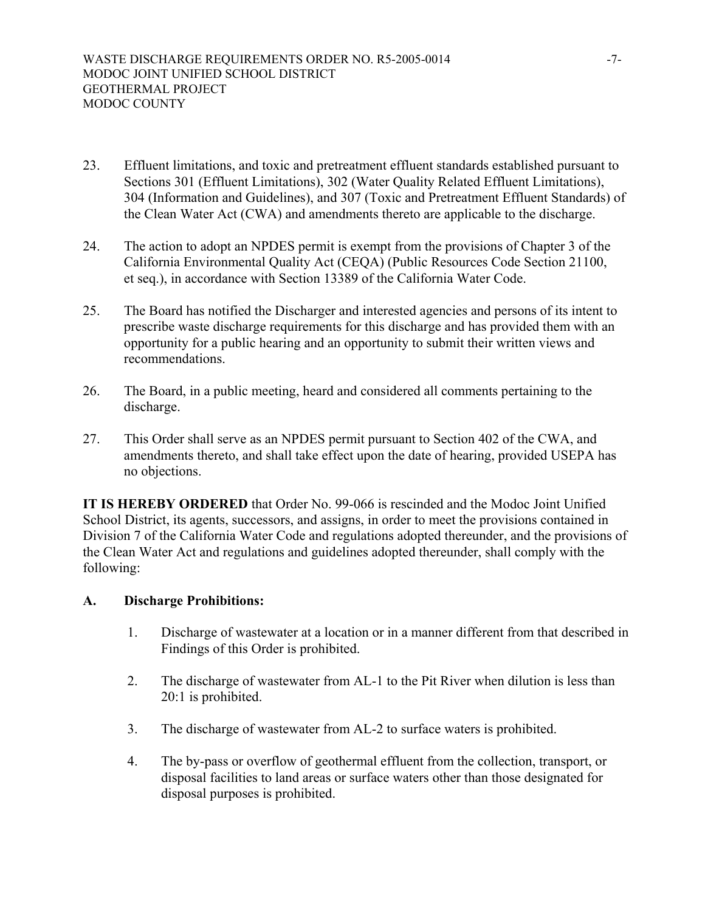- 23. Effluent limitations, and toxic and pretreatment effluent standards established pursuant to Sections 301 (Effluent Limitations), 302 (Water Quality Related Effluent Limitations), 304 (Information and Guidelines), and 307 (Toxic and Pretreatment Effluent Standards) of the Clean Water Act (CWA) and amendments thereto are applicable to the discharge.
- 24. The action to adopt an NPDES permit is exempt from the provisions of Chapter 3 of the California Environmental Quality Act (CEQA) (Public Resources Code Section 21100, et seq.), in accordance with Section 13389 of the California Water Code.
- 25. The Board has notified the Discharger and interested agencies and persons of its intent to prescribe waste discharge requirements for this discharge and has provided them with an opportunity for a public hearing and an opportunity to submit their written views and recommendations.
- 26. The Board, in a public meeting, heard and considered all comments pertaining to the discharge.
- 27. This Order shall serve as an NPDES permit pursuant to Section 402 of the CWA, and amendments thereto, and shall take effect upon the date of hearing, provided USEPA has no objections.

**IT IS HEREBY ORDERED** that Order No. 99-066 is rescinded and the Modoc Joint Unified School District, its agents, successors, and assigns, in order to meet the provisions contained in Division 7 of the California Water Code and regulations adopted thereunder, and the provisions of the Clean Water Act and regulations and guidelines adopted thereunder, shall comply with the following:

#### **A. Discharge Prohibitions:**

- 1. Discharge of wastewater at a location or in a manner different from that described in Findings of this Order is prohibited.
- 2. The discharge of wastewater from AL-1 to the Pit River when dilution is less than 20:1 is prohibited.
- 3. The discharge of wastewater from AL-2 to surface waters is prohibited.
- 4. The by-pass or overflow of geothermal effluent from the collection, transport, or disposal facilities to land areas or surface waters other than those designated for disposal purposes is prohibited.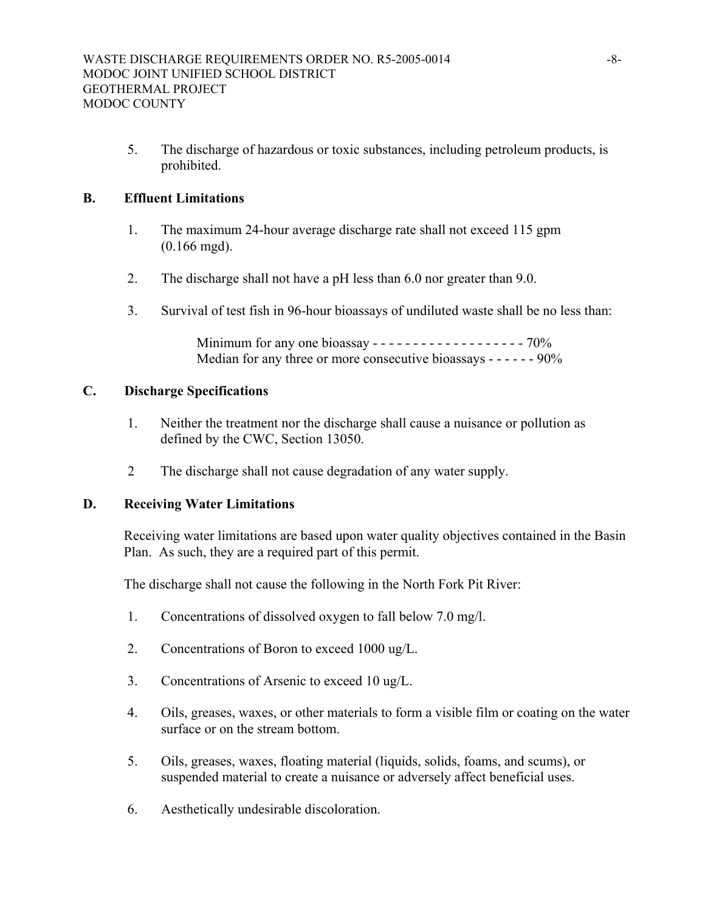5. The discharge of hazardous or toxic substances, including petroleum products, is prohibited.

## **B. Effluent Limitations**

- 1. The maximum 24-hour average discharge rate shall not exceed 115 gpm (0.166 mgd).
- 2. The discharge shall not have a pH less than 6.0 nor greater than 9.0.
- 3. Survival of test fish in 96-hour bioassays of undiluted waste shall be no less than:

 Minimum for any one bioassay - - - - - - - - - - - - - - - - - - - 70% Median for any three or more consecutive bioassays - - - - - - 90%

#### **C. Discharge Specifications**

- 1. Neither the treatment nor the discharge shall cause a nuisance or pollution as defined by the CWC, Section 13050.
- 2 The discharge shall not cause degradation of any water supply.

## **D. Receiving Water Limitations**

 Receiving water limitations are based upon water quality objectives contained in the Basin Plan. As such, they are a required part of this permit.

The discharge shall not cause the following in the North Fork Pit River:

- 1. Concentrations of dissolved oxygen to fall below 7.0 mg/l.
- 2. Concentrations of Boron to exceed 1000 ug/L.
- 3. Concentrations of Arsenic to exceed 10 ug/L.
- 4. Oils, greases, waxes, or other materials to form a visible film or coating on the water surface or on the stream bottom.
- 5. Oils, greases, waxes, floating material (liquids, solids, foams, and scums), or suspended material to create a nuisance or adversely affect beneficial uses.
- 6. Aesthetically undesirable discoloration.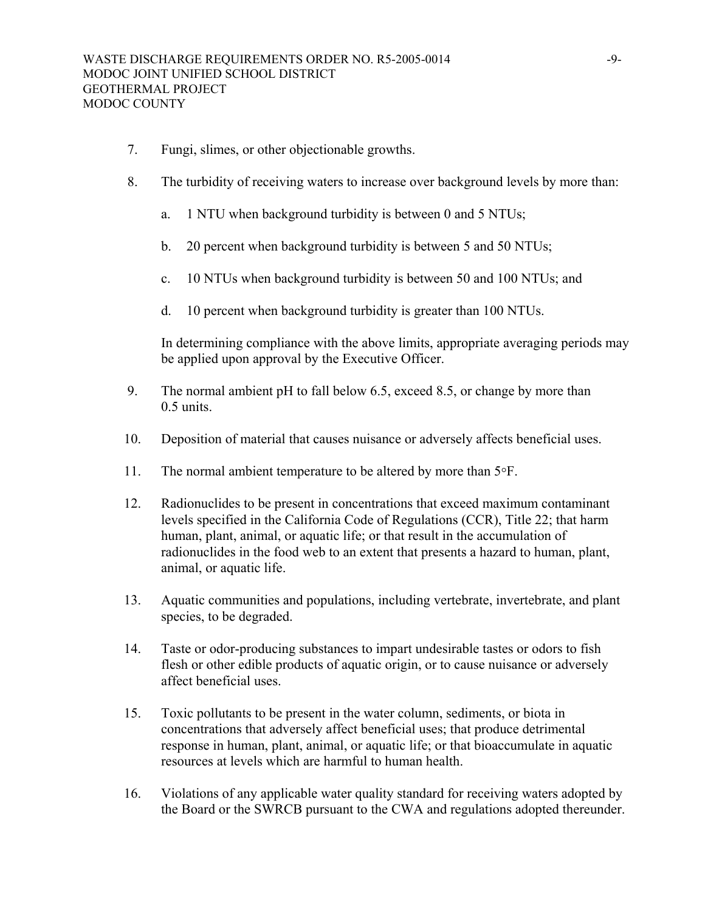- 7. Fungi, slimes, or other objectionable growths.
- 8. The turbidity of receiving waters to increase over background levels by more than:
	- a. 1 NTU when background turbidity is between 0 and 5 NTUs;
	- b. 20 percent when background turbidity is between 5 and 50 NTUs;
	- c. 10 NTUs when background turbidity is between 50 and 100 NTUs; and
	- d. 10 percent when background turbidity is greater than 100 NTUs.

 In determining compliance with the above limits, appropriate averaging periods may be applied upon approval by the Executive Officer.

- 9. The normal ambient pH to fall below 6.5, exceed 8.5, or change by more than 0.5 units.
- 10. Deposition of material that causes nuisance or adversely affects beneficial uses.
- 11. The normal ambient temperature to be altered by more than  $5^{\circ}$ F.
- 12. Radionuclides to be present in concentrations that exceed maximum contaminant levels specified in the California Code of Regulations (CCR), Title 22; that harm human, plant, animal, or aquatic life; or that result in the accumulation of radionuclides in the food web to an extent that presents a hazard to human, plant, animal, or aquatic life.
- 13. Aquatic communities and populations, including vertebrate, invertebrate, and plant species, to be degraded.
- 14. Taste or odor-producing substances to impart undesirable tastes or odors to fish flesh or other edible products of aquatic origin, or to cause nuisance or adversely affect beneficial uses.
- 15. Toxic pollutants to be present in the water column, sediments, or biota in concentrations that adversely affect beneficial uses; that produce detrimental response in human, plant, animal, or aquatic life; or that bioaccumulate in aquatic resources at levels which are harmful to human health.
- 16. Violations of any applicable water quality standard for receiving waters adopted by the Board or the SWRCB pursuant to the CWA and regulations adopted thereunder.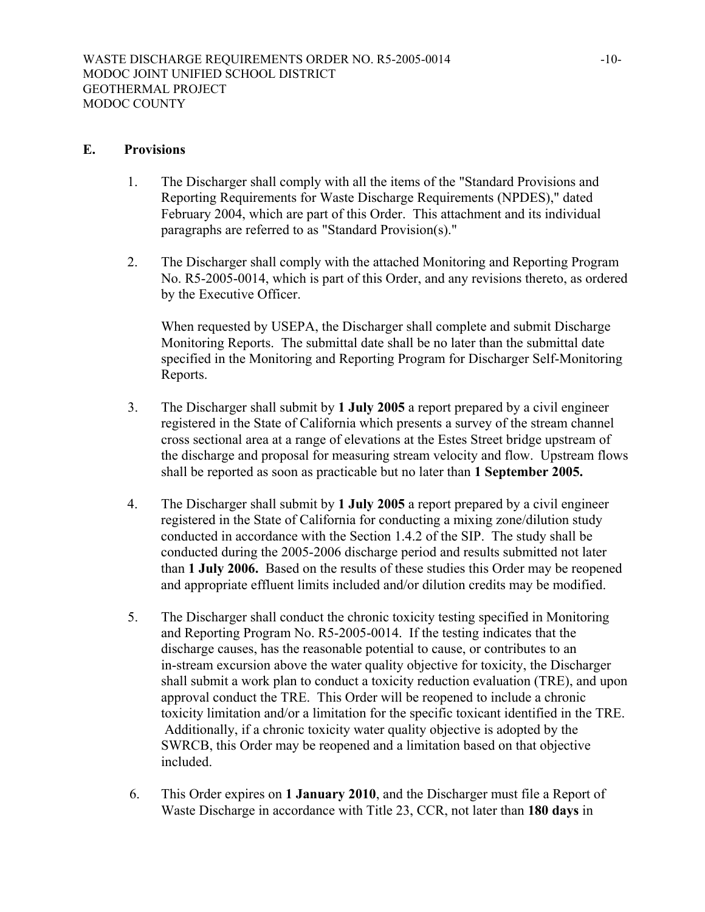#### **E. Provisions**

- 1. The Discharger shall comply with all the items of the "Standard Provisions and Reporting Requirements for Waste Discharge Requirements (NPDES)," dated February 2004, which are part of this Order. This attachment and its individual paragraphs are referred to as "Standard Provision(s)."
- 2. The Discharger shall comply with the attached Monitoring and Reporting Program No. R5-2005-0014, which is part of this Order, and any revisions thereto, as ordered by the Executive Officer.

 When requested by USEPA, the Discharger shall complete and submit Discharge Monitoring Reports. The submittal date shall be no later than the submittal date specified in the Monitoring and Reporting Program for Discharger Self-Monitoring Reports.

- 3. The Discharger shall submit by **1 July 2005** a report prepared by a civil engineer registered in the State of California which presents a survey of the stream channel cross sectional area at a range of elevations at the Estes Street bridge upstream of the discharge and proposal for measuring stream velocity and flow. Upstream flows shall be reported as soon as practicable but no later than **1 September 2005.**
- 4. The Discharger shall submit by **1 July 2005** a report prepared by a civil engineer registered in the State of California for conducting a mixing zone/dilution study conducted in accordance with the Section 1.4.2 of the SIP. The study shall be conducted during the 2005-2006 discharge period and results submitted not later than **1 July 2006.** Based on the results of these studies this Order may be reopened and appropriate effluent limits included and/or dilution credits may be modified.
- 5. The Discharger shall conduct the chronic toxicity testing specified in Monitoring and Reporting Program No. R5-2005-0014. If the testing indicates that the discharge causes, has the reasonable potential to cause, or contributes to an in-stream excursion above the water quality objective for toxicity, the Discharger shall submit a work plan to conduct a toxicity reduction evaluation (TRE), and upon approval conduct the TRE. This Order will be reopened to include a chronic toxicity limitation and/or a limitation for the specific toxicant identified in the TRE. Additionally, if a chronic toxicity water quality objective is adopted by the SWRCB, this Order may be reopened and a limitation based on that objective included.
- 6. This Order expires on **1 January 2010**, and the Discharger must file a Report of Waste Discharge in accordance with Title 23, CCR, not later than **180 days** in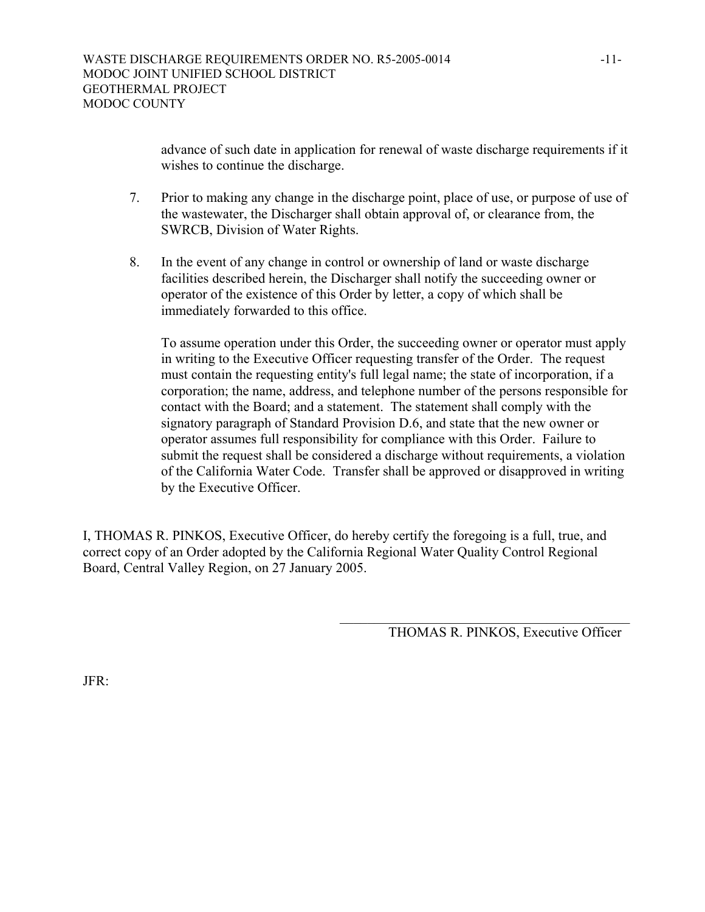advance of such date in application for renewal of waste discharge requirements if it wishes to continue the discharge.

- 7. Prior to making any change in the discharge point, place of use, or purpose of use of the wastewater, the Discharger shall obtain approval of, or clearance from, the SWRCB, Division of Water Rights.
- 8. In the event of any change in control or ownership of land or waste discharge facilities described herein, the Discharger shall notify the succeeding owner or operator of the existence of this Order by letter, a copy of which shall be immediately forwarded to this office.

 To assume operation under this Order, the succeeding owner or operator must apply in writing to the Executive Officer requesting transfer of the Order. The request must contain the requesting entity's full legal name; the state of incorporation, if a corporation; the name, address, and telephone number of the persons responsible for contact with the Board; and a statement. The statement shall comply with the signatory paragraph of Standard Provision D.6, and state that the new owner or operator assumes full responsibility for compliance with this Order. Failure to submit the request shall be considered a discharge without requirements, a violation of the California Water Code. Transfer shall be approved or disapproved in writing by the Executive Officer.

I, THOMAS R. PINKOS, Executive Officer, do hereby certify the foregoing is a full, true, and correct copy of an Order adopted by the California Regional Water Quality Control Regional Board, Central Valley Region, on 27 January 2005.

THOMAS R. PINKOS, Executive Officer

 $\mathcal{L}_\mathcal{L} = \mathcal{L}_\mathcal{L} = \mathcal{L}_\mathcal{L} = \mathcal{L}_\mathcal{L} = \mathcal{L}_\mathcal{L} = \mathcal{L}_\mathcal{L} = \mathcal{L}_\mathcal{L} = \mathcal{L}_\mathcal{L} = \mathcal{L}_\mathcal{L} = \mathcal{L}_\mathcal{L} = \mathcal{L}_\mathcal{L} = \mathcal{L}_\mathcal{L} = \mathcal{L}_\mathcal{L} = \mathcal{L}_\mathcal{L} = \mathcal{L}_\mathcal{L} = \mathcal{L}_\mathcal{L} = \mathcal{L}_\mathcal{L}$ 

JFR: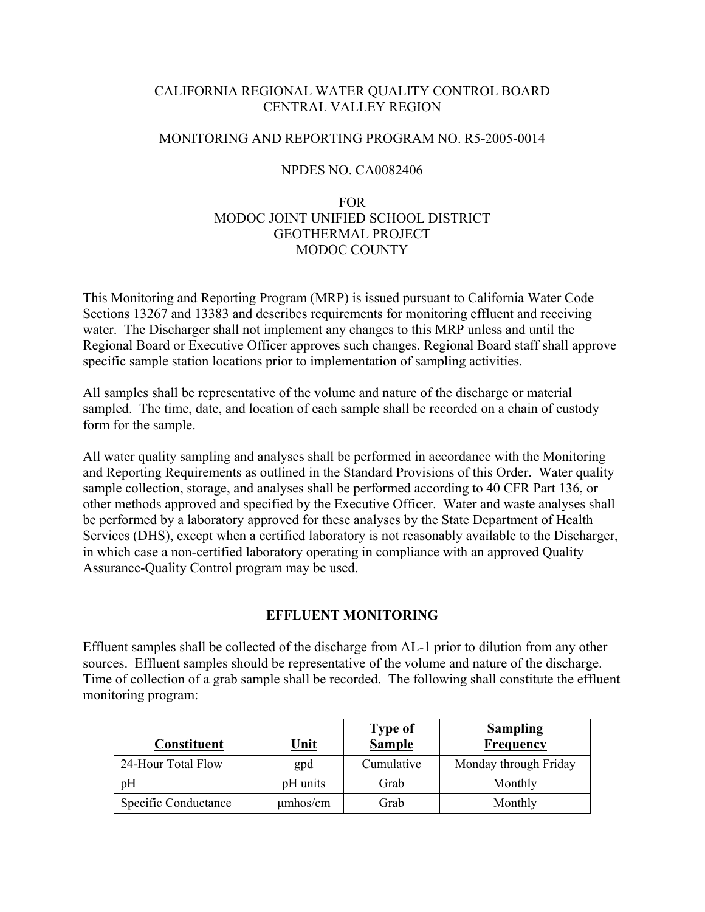### CALIFORNIA REGIONAL WATER QUALITY CONTROL BOARD CENTRAL VALLEY REGION

### MONITORING AND REPORTING PROGRAM NO. R5-2005-0014

### NPDES NO. CA0082406

# FOR MODOC JOINT UNIFIED SCHOOL DISTRICT GEOTHERMAL PROJECT MODOC COUNTY

This Monitoring and Reporting Program (MRP) is issued pursuant to California Water Code Sections 13267 and 13383 and describes requirements for monitoring effluent and receiving water. The Discharger shall not implement any changes to this MRP unless and until the Regional Board or Executive Officer approves such changes. Regional Board staff shall approve specific sample station locations prior to implementation of sampling activities.

All samples shall be representative of the volume and nature of the discharge or material sampled. The time, date, and location of each sample shall be recorded on a chain of custody form for the sample.

All water quality sampling and analyses shall be performed in accordance with the Monitoring and Reporting Requirements as outlined in the Standard Provisions of this Order. Water quality sample collection, storage, and analyses shall be performed according to 40 CFR Part 136, or other methods approved and specified by the Executive Officer. Water and waste analyses shall be performed by a laboratory approved for these analyses by the State Department of Health Services (DHS), except when a certified laboratory is not reasonably available to the Discharger, in which case a non-certified laboratory operating in compliance with an approved Quality Assurance-Quality Control program may be used.

#### **EFFLUENT MONITORING**

Effluent samples shall be collected of the discharge from AL-1 prior to dilution from any other sources. Effluent samples should be representative of the volume and nature of the discharge. Time of collection of a grab sample shall be recorded. The following shall constitute the effluent monitoring program:

| <b>Constituent</b>   | <u>Unit</u>   | <b>Type of</b><br><b>Sample</b> | <b>Sampling</b><br><b>Frequency</b> |
|----------------------|---------------|---------------------------------|-------------------------------------|
| 24-Hour Total Flow   | gpd           | Cumulative                      | Monday through Friday               |
| pH                   | pH units      | Grab                            | Monthly                             |
| Specific Conductance | $\mu$ mhos/cm | Grab                            | Monthly                             |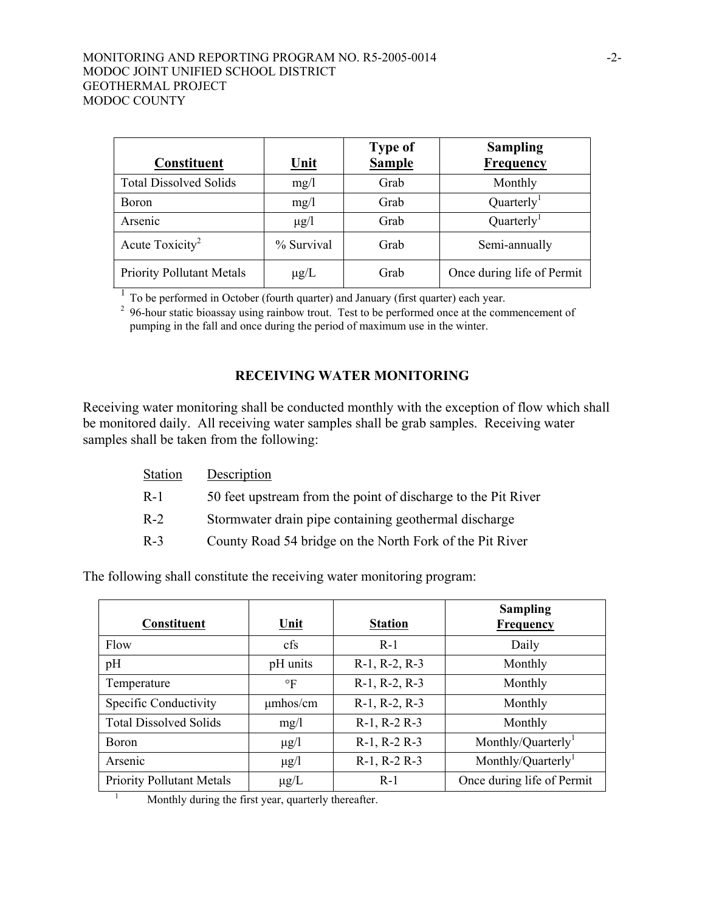| <b>Constituent</b>               | <u>Unit</u> | <b>Type of</b><br><b>Sample</b> | <b>Sampling</b><br><b>Frequency</b> |
|----------------------------------|-------------|---------------------------------|-------------------------------------|
| <b>Total Dissolved Solids</b>    | mg/1        | Grab                            | Monthly                             |
| Boron                            | mg/1        | Grab                            | Quarterly <sup>1</sup>              |
| Arsenic                          | $\mu$ g/l   | Grab                            | Quarterly <sup>1</sup>              |
| Acute Toxicity <sup>2</sup>      | % Survival  | Grab                            | Semi-annually                       |
| <b>Priority Pollutant Metals</b> | $\mu$ g/L   | Grab                            | Once during life of Permit          |

 $\frac{1}{2}$  To be performed in October (fourth quarter) and January (first quarter) each year.<br><sup>2</sup> 96-hour static bioassay using rainbow trout. Test to be performed once at the commencement of pumping in the fall and once during the period of maximum use in the winter.

### **RECEIVING WATER MONITORING**

Receiving water monitoring shall be conducted monthly with the exception of flow which shall be monitored daily. All receiving water samples shall be grab samples. Receiving water samples shall be taken from the following:

| Description                                                   |
|---------------------------------------------------------------|
| 50 feet upstream from the point of discharge to the Pit River |
| Stormwater drain pipe containing geothermal discharge         |
| County Road 54 bridge on the North Fork of the Pit River      |
|                                                               |

The following shall constitute the receiving water monitoring program:

| Constituent                                        | Unit          | <b>Station</b>        | <b>Sampling</b><br><b>Frequency</b> |
|----------------------------------------------------|---------------|-----------------------|-------------------------------------|
| Flow                                               | cfs           | $R-1$                 | Daily                               |
| pH                                                 | pH units      | $R-1$ , $R-2$ , $R-3$ | Monthly                             |
| Temperature                                        | $\circ$ F     | $R-1$ , $R-2$ , $R-3$ | Monthly                             |
| Specific Conductivity                              | $\mu$ mhos/cm | $R-1$ , $R-2$ , $R-3$ | Monthly                             |
| <b>Total Dissolved Solids</b>                      | mg/l          | $R-1$ , $R-2$ $R-3$   | Monthly                             |
| <b>Boron</b>                                       | $\mu$ g/l     | $R-1$ , $R-2$ $R-3$   | Monthly/Quarterly <sup>1</sup>      |
| Arsenic                                            | $\mu$ g/l     | $R-1$ , $R-2$ $R-3$   | Monthly/Quarterly <sup>1</sup>      |
| <b>Priority Pollutant Metals</b>                   | $\mu$ g/L     | $R-1$                 | Once during life of Permit          |
| Monthly during the first year, quarterly thorofter |               |                       |                                     |

Monthly during the first year, quarterly thereafter.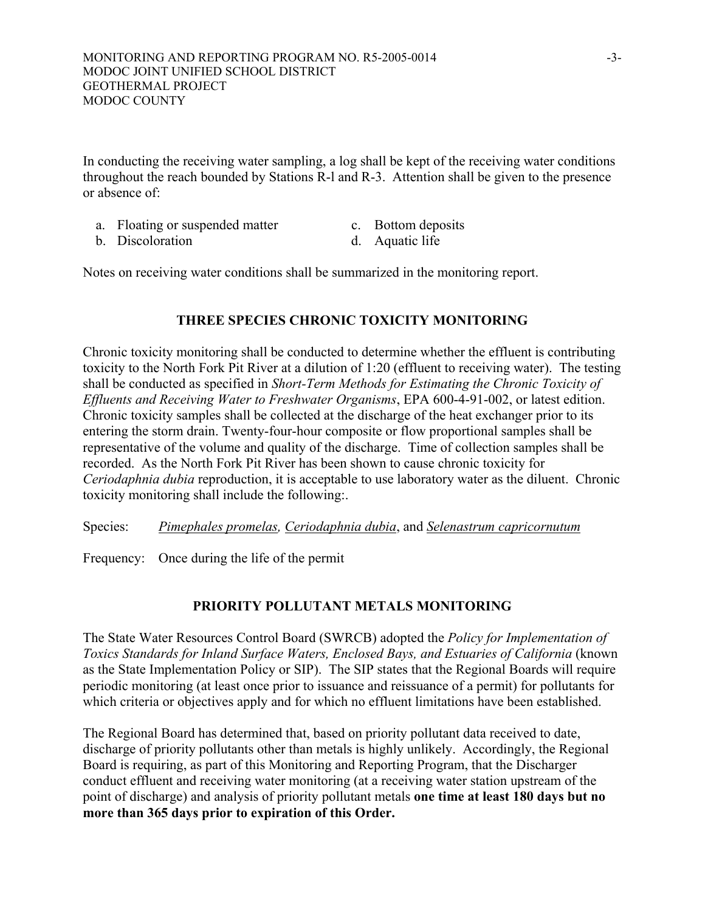In conducting the receiving water sampling, a log shall be kept of the receiving water conditions throughout the reach bounded by Stations R-l and R-3. Attention shall be given to the presence or absence of:

- a. Floating or suspended matter c. Bottom deposits
	-
- b. Discoloration d. Aquatic life
- 

Notes on receiving water conditions shall be summarized in the monitoring report.

#### **THREE SPECIES CHRONIC TOXICITY MONITORING**

Chronic toxicity monitoring shall be conducted to determine whether the effluent is contributing toxicity to the North Fork Pit River at a dilution of 1:20 (effluent to receiving water). The testing shall be conducted as specified in *Short-Term Methods for Estimating the Chronic Toxicity of Effluents and Receiving Water to Freshwater Organisms*, EPA 600-4-91-002, or latest edition. Chronic toxicity samples shall be collected at the discharge of the heat exchanger prior to its entering the storm drain. Twenty-four-hour composite or flow proportional samples shall be representative of the volume and quality of the discharge. Time of collection samples shall be recorded. As the North Fork Pit River has been shown to cause chronic toxicity for *Ceriodaphnia dubia* reproduction, it is acceptable to use laboratory water as the diluent. Chronic toxicity monitoring shall include the following:.

Species: *Pimephales promelas, Ceriodaphnia dubia*, and *Selenastrum capricornutum*

Frequency: Once during the life of the permit

## **PRIORITY POLLUTANT METALS MONITORING**

The State Water Resources Control Board (SWRCB) adopted the *Policy for Implementation of Toxics Standards for Inland Surface Waters, Enclosed Bays, and Estuaries of California* (known as the State Implementation Policy or SIP). The SIP states that the Regional Boards will require periodic monitoring (at least once prior to issuance and reissuance of a permit) for pollutants for which criteria or objectives apply and for which no effluent limitations have been established.

The Regional Board has determined that, based on priority pollutant data received to date, discharge of priority pollutants other than metals is highly unlikely. Accordingly, the Regional Board is requiring, as part of this Monitoring and Reporting Program, that the Discharger conduct effluent and receiving water monitoring (at a receiving water station upstream of the point of discharge) and analysis of priority pollutant metals **one time at least 180 days but no more than 365 days prior to expiration of this Order.**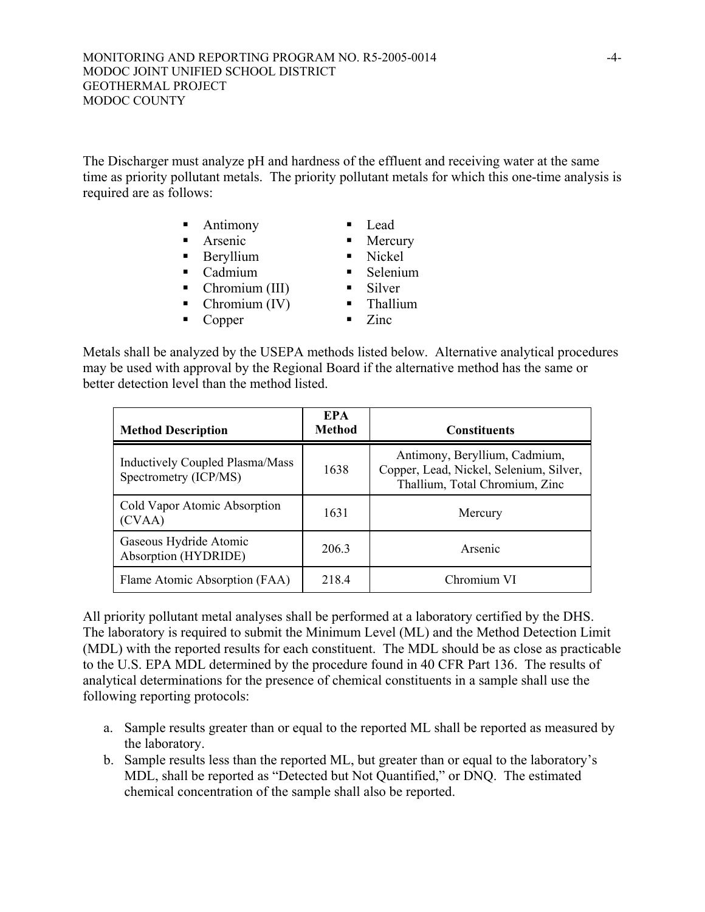The Discharger must analyze pH and hardness of the effluent and receiving water at the same time as priority pollutant metals. The priority pollutant metals for which this one-time analysis is required are as follows:

- Antimony Lead
- Arsenic Mercury
- Beryllium Nickel
- Cadmium **Selenium**
- Chromium (III) Silver
- Chromium (IV) Thallium
- Copper Zinc
- 
- 
- 
- 
- 
- Metals shall be analyzed by the USEPA methods listed below. Alternative analytical procedures may be used with approval by the Regional Board if the alternative method has the same or better detection level than the method listed.

| <b>Method Description</b>                                       | <b>EPA</b><br><b>Method</b> | <b>Constituents</b>                                                                                        |
|-----------------------------------------------------------------|-----------------------------|------------------------------------------------------------------------------------------------------------|
| <b>Inductively Coupled Plasma/Mass</b><br>Spectrometry (ICP/MS) | 1638                        | Antimony, Beryllium, Cadmium,<br>Copper, Lead, Nickel, Selenium, Silver,<br>Thallium, Total Chromium, Zinc |
| Cold Vapor Atomic Absorption<br>(CVAA)                          | 1631                        | Mercury                                                                                                    |
| Gaseous Hydride Atomic<br>Absorption (HYDRIDE)                  | 206.3                       | Arsenic                                                                                                    |
| Flame Atomic Absorption (FAA)                                   | 218.4                       | Chromium VI                                                                                                |

All priority pollutant metal analyses shall be performed at a laboratory certified by the DHS. The laboratory is required to submit the Minimum Level (ML) and the Method Detection Limit (MDL) with the reported results for each constituent. The MDL should be as close as practicable to the U.S. EPA MDL determined by the procedure found in 40 CFR Part 136. The results of analytical determinations for the presence of chemical constituents in a sample shall use the following reporting protocols:

- a. Sample results greater than or equal to the reported ML shall be reported as measured by the laboratory.
- b. Sample results less than the reported ML, but greater than or equal to the laboratory's MDL, shall be reported as "Detected but Not Quantified," or DNQ. The estimated chemical concentration of the sample shall also be reported.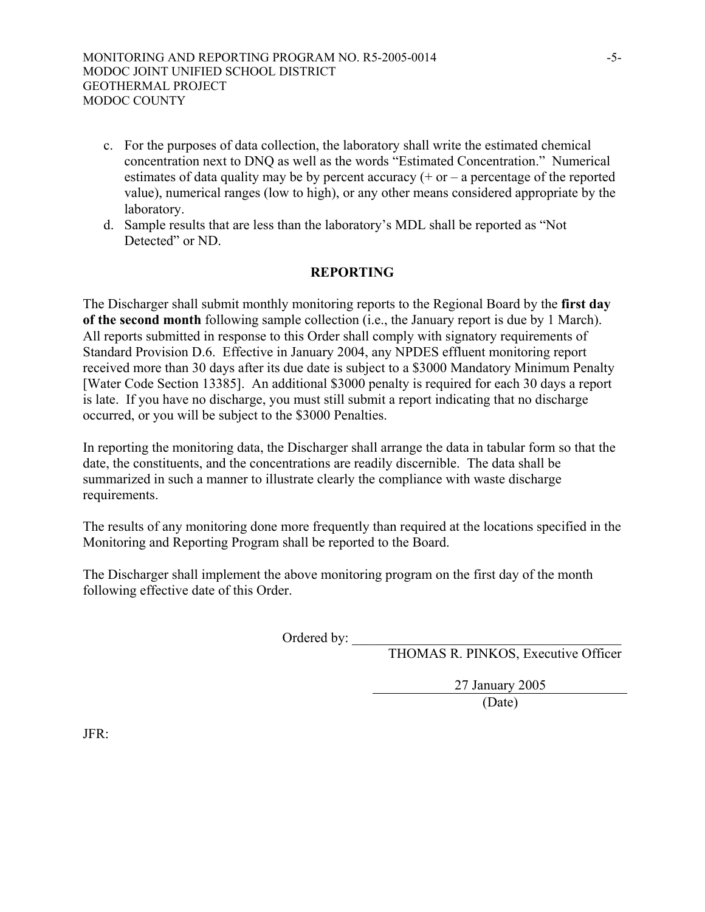- c. For the purposes of data collection, the laboratory shall write the estimated chemical concentration next to DNQ as well as the words "Estimated Concentration." Numerical estimates of data quality may be by percent accuracy  $(+)$  or  $-$  a percentage of the reported value), numerical ranges (low to high), or any other means considered appropriate by the laboratory.
- d. Sample results that are less than the laboratory's MDL shall be reported as "Not Detected" or ND.

### **REPORTING**

The Discharger shall submit monthly monitoring reports to the Regional Board by the **first day of the second month** following sample collection (i.e., the January report is due by 1 March). All reports submitted in response to this Order shall comply with signatory requirements of Standard Provision D.6. Effective in January 2004, any NPDES effluent monitoring report received more than 30 days after its due date is subject to a \$3000 Mandatory Minimum Penalty [Water Code Section 13385]. An additional \$3000 penalty is required for each 30 days a report is late. If you have no discharge, you must still submit a report indicating that no discharge occurred, or you will be subject to the \$3000 Penalties.

In reporting the monitoring data, the Discharger shall arrange the data in tabular form so that the date, the constituents, and the concentrations are readily discernible. The data shall be summarized in such a manner to illustrate clearly the compliance with waste discharge requirements.

The results of any monitoring done more frequently than required at the locations specified in the Monitoring and Reporting Program shall be reported to the Board.

The Discharger shall implement the above monitoring program on the first day of the month following effective date of this Order.

Ordered by:

THOMAS R. PINKOS, Executive Officer

27 January 2005

(Date)

JFR: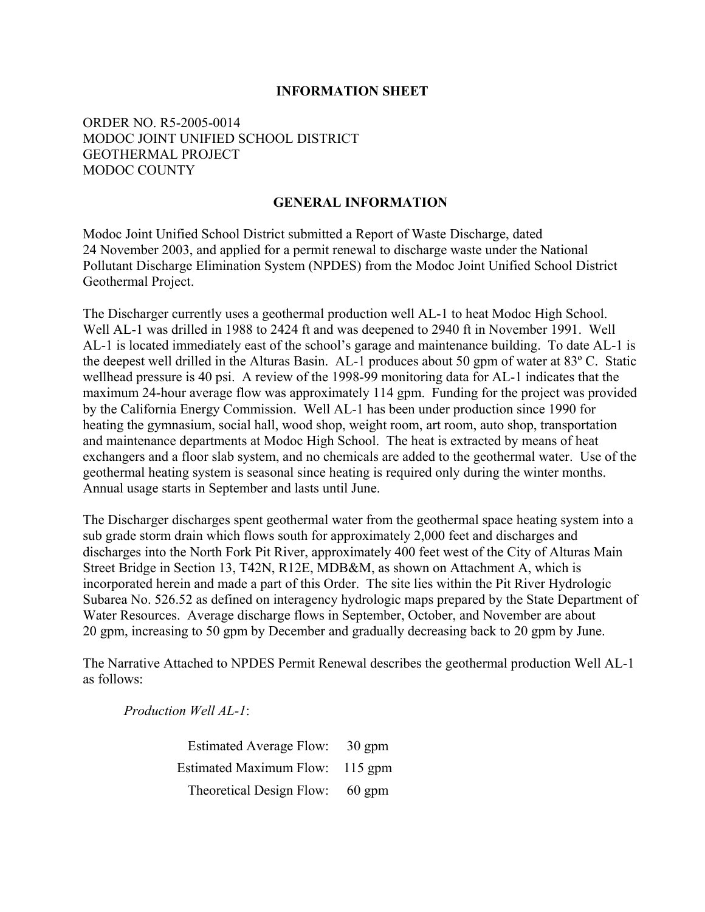#### **INFORMATION SHEET**

### ORDER NO. R5-2005-0014 MODOC JOINT UNIFIED SCHOOL DISTRICT GEOTHERMAL PROJECT MODOC COUNTY

### **GENERAL INFORMATION**

Modoc Joint Unified School District submitted a Report of Waste Discharge, dated 24 November 2003, and applied for a permit renewal to discharge waste under the National Pollutant Discharge Elimination System (NPDES) from the Modoc Joint Unified School District Geothermal Project.

The Discharger currently uses a geothermal production well AL-1 to heat Modoc High School. Well AL-1 was drilled in 1988 to 2424 ft and was deepened to 2940 ft in November 1991. Well AL-1 is located immediately east of the school's garage and maintenance building. To date AL-1 is the deepest well drilled in the Alturas Basin. AL-1 produces about 50 gpm of water at 83º C. Static wellhead pressure is 40 psi. A review of the 1998-99 monitoring data for AL-1 indicates that the maximum 24-hour average flow was approximately 114 gpm. Funding for the project was provided by the California Energy Commission. Well AL-1 has been under production since 1990 for heating the gymnasium, social hall, wood shop, weight room, art room, auto shop, transportation and maintenance departments at Modoc High School. The heat is extracted by means of heat exchangers and a floor slab system, and no chemicals are added to the geothermal water. Use of the geothermal heating system is seasonal since heating is required only during the winter months. Annual usage starts in September and lasts until June.

The Discharger discharges spent geothermal water from the geothermal space heating system into a sub grade storm drain which flows south for approximately 2,000 feet and discharges and discharges into the North Fork Pit River, approximately 400 feet west of the City of Alturas Main Street Bridge in Section 13, T42N, R12E, MDB&M, as shown on Attachment A, which is incorporated herein and made a part of this Order. The site lies within the Pit River Hydrologic Subarea No. 526.52 as defined on interagency hydrologic maps prepared by the State Department of Water Resources. Average discharge flows in September, October, and November are about 20 gpm, increasing to 50 gpm by December and gradually decreasing back to 20 gpm by June.

The Narrative Attached to NPDES Permit Renewal describes the geothermal production Well AL-1 as follows:

 *Production Well AL-1*:

Estimated Average Flow: 30 gpm Estimated Maximum Flow: 115 gpm Theoretical Design Flow: 60 gpm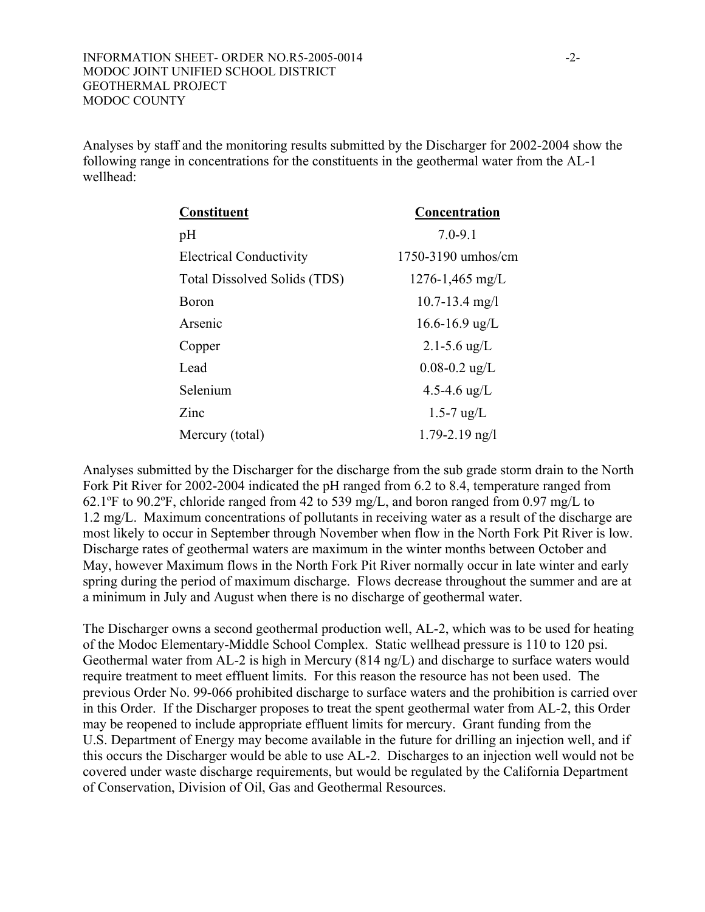Analyses by staff and the monitoring results submitted by the Discharger for 2002-2004 show the following range in concentrations for the constituents in the geothermal water from the AL-1 wellhead:

| <b>Constituent</b>             | Concentration          |
|--------------------------------|------------------------|
| pH                             | $7.0 - 9.1$            |
| <b>Electrical Conductivity</b> | $1750 - 3190$ umhos/cm |
| Total Dissolved Solids (TDS)   | $1276 - 1,465$ mg/L    |
| Boron                          | $10.7 - 13.4$ mg/l     |
| Arsenic                        | $16.6 - 16.9$ ug/L     |
| Copper                         | $2.1 - 5.6$ ug/L       |
| Lead                           | $0.08 - 0.2$ ug/L      |
| Selenium                       | 4.5-4.6 $\mu$ g/L      |
| Zinc                           | $1.5 - 7$ ug/L         |
| Mercury (total)                | $1.79 - 2.19$ ng/l     |

Analyses submitted by the Discharger for the discharge from the sub grade storm drain to the North Fork Pit River for 2002-2004 indicated the pH ranged from 6.2 to 8.4, temperature ranged from 62.1ºF to 90.2ºF, chloride ranged from 42 to 539 mg/L, and boron ranged from 0.97 mg/L to 1.2 mg/L. Maximum concentrations of pollutants in receiving water as a result of the discharge are most likely to occur in September through November when flow in the North Fork Pit River is low. Discharge rates of geothermal waters are maximum in the winter months between October and May, however Maximum flows in the North Fork Pit River normally occur in late winter and early spring during the period of maximum discharge. Flows decrease throughout the summer and are at a minimum in July and August when there is no discharge of geothermal water.

The Discharger owns a second geothermal production well, AL-2, which was to be used for heating of the Modoc Elementary-Middle School Complex. Static wellhead pressure is 110 to 120 psi. Geothermal water from AL-2 is high in Mercury (814 ng/L) and discharge to surface waters would require treatment to meet effluent limits. For this reason the resource has not been used. The previous Order No. 99-066 prohibited discharge to surface waters and the prohibition is carried over in this Order. If the Discharger proposes to treat the spent geothermal water from AL-2, this Order may be reopened to include appropriate effluent limits for mercury. Grant funding from the U.S. Department of Energy may become available in the future for drilling an injection well, and if this occurs the Discharger would be able to use AL-2. Discharges to an injection well would not be covered under waste discharge requirements, but would be regulated by the California Department of Conservation, Division of Oil, Gas and Geothermal Resources.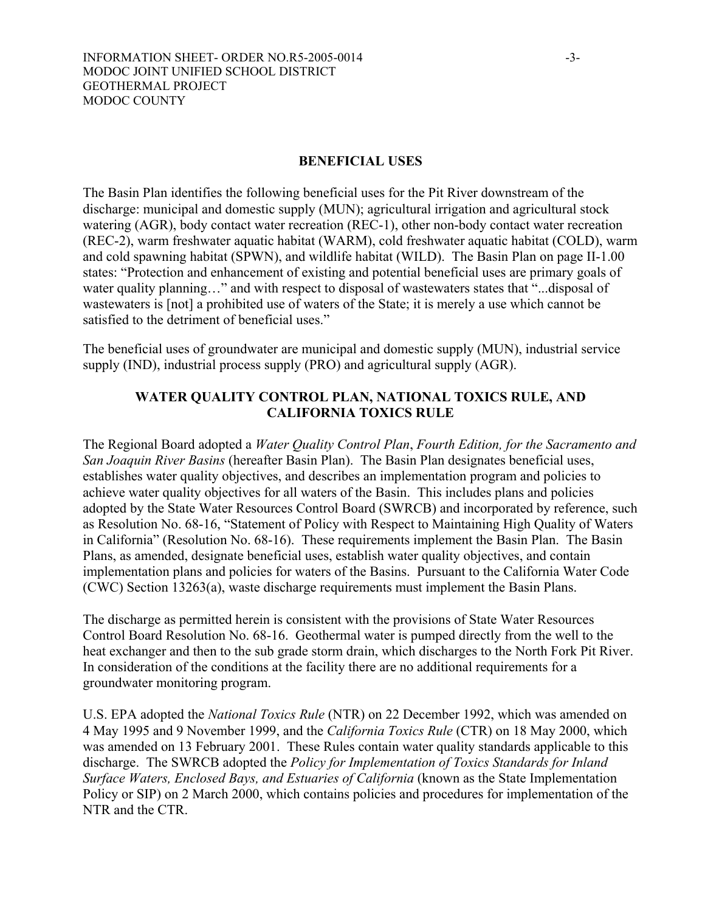#### **BENEFICIAL USES**

The Basin Plan identifies the following beneficial uses for the Pit River downstream of the discharge: municipal and domestic supply (MUN); agricultural irrigation and agricultural stock watering (AGR), body contact water recreation (REC-1), other non-body contact water recreation (REC-2), warm freshwater aquatic habitat (WARM), cold freshwater aquatic habitat (COLD), warm and cold spawning habitat (SPWN), and wildlife habitat (WILD). The Basin Plan on page II-1.00 states: "Protection and enhancement of existing and potential beneficial uses are primary goals of water quality planning…" and with respect to disposal of wastewaters states that "...disposal of wastewaters is [not] a prohibited use of waters of the State; it is merely a use which cannot be satisfied to the detriment of beneficial uses."

The beneficial uses of groundwater are municipal and domestic supply (MUN), industrial service supply (IND), industrial process supply (PRO) and agricultural supply (AGR).

## **WATER QUALITY CONTROL PLAN, NATIONAL TOXICS RULE, AND CALIFORNIA TOXICS RULE**

The Regional Board adopted a *Water Quality Control Plan*, *Fourth Edition, for the Sacramento and San Joaquin River Basins* (hereafter Basin Plan). The Basin Plan designates beneficial uses, establishes water quality objectives, and describes an implementation program and policies to achieve water quality objectives for all waters of the Basin. This includes plans and policies adopted by the State Water Resources Control Board (SWRCB) and incorporated by reference, such as Resolution No. 68-16, "Statement of Policy with Respect to Maintaining High Quality of Waters in California" (Resolution No. 68-16). These requirements implement the Basin Plan. The Basin Plans, as amended, designate beneficial uses, establish water quality objectives, and contain implementation plans and policies for waters of the Basins. Pursuant to the California Water Code (CWC) Section 13263(a), waste discharge requirements must implement the Basin Plans.

The discharge as permitted herein is consistent with the provisions of State Water Resources Control Board Resolution No. 68-16. Geothermal water is pumped directly from the well to the heat exchanger and then to the sub grade storm drain, which discharges to the North Fork Pit River. In consideration of the conditions at the facility there are no additional requirements for a groundwater monitoring program.

U.S. EPA adopted the *National Toxics Rule* (NTR) on 22 December 1992, which was amended on 4 May 1995 and 9 November 1999, and the *California Toxics Rule* (CTR) on 18 May 2000, which was amended on 13 February 2001. These Rules contain water quality standards applicable to this discharge. The SWRCB adopted the *Policy for Implementation of Toxics Standards for Inland Surface Waters, Enclosed Bays, and Estuaries of California* (known as the State Implementation Policy or SIP) on 2 March 2000, which contains policies and procedures for implementation of the NTR and the CTR.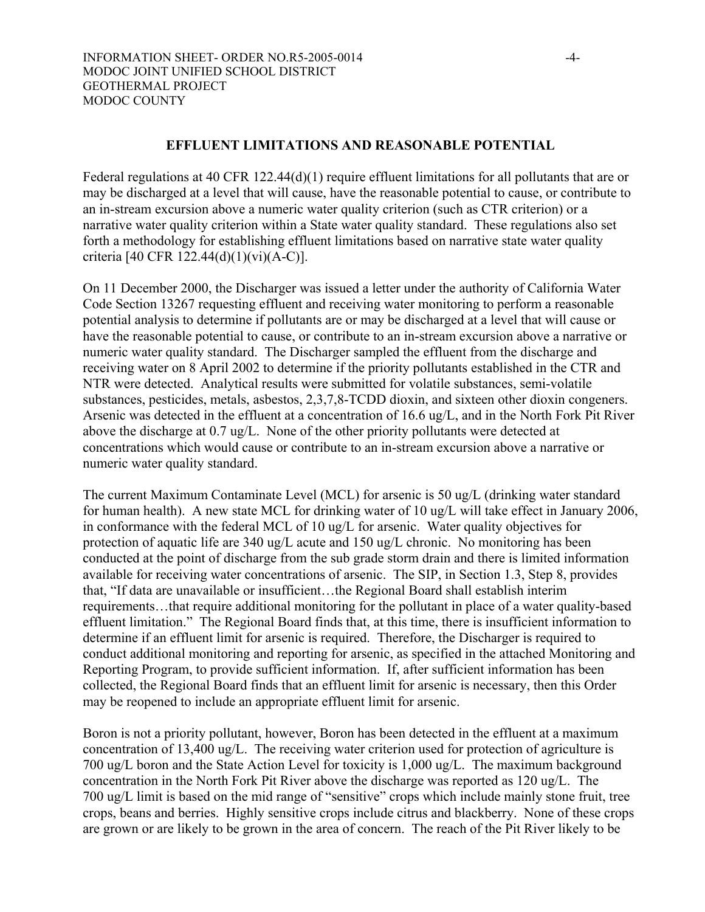#### **EFFLUENT LIMITATIONS AND REASONABLE POTENTIAL**

Federal regulations at 40 CFR 122.44(d)(1) require effluent limitations for all pollutants that are or may be discharged at a level that will cause, have the reasonable potential to cause, or contribute to an in-stream excursion above a numeric water quality criterion (such as CTR criterion) or a narrative water quality criterion within a State water quality standard. These regulations also set forth a methodology for establishing effluent limitations based on narrative state water quality criteria [40 CFR 122.44(d)(1)(vi)(A-C)].

On 11 December 2000, the Discharger was issued a letter under the authority of California Water Code Section 13267 requesting effluent and receiving water monitoring to perform a reasonable potential analysis to determine if pollutants are or may be discharged at a level that will cause or have the reasonable potential to cause, or contribute to an in-stream excursion above a narrative or numeric water quality standard. The Discharger sampled the effluent from the discharge and receiving water on 8 April 2002 to determine if the priority pollutants established in the CTR and NTR were detected. Analytical results were submitted for volatile substances, semi-volatile substances, pesticides, metals, asbestos, 2,3,7,8-TCDD dioxin, and sixteen other dioxin congeners. Arsenic was detected in the effluent at a concentration of 16.6 ug/L, and in the North Fork Pit River above the discharge at 0.7 ug/L. None of the other priority pollutants were detected at concentrations which would cause or contribute to an in-stream excursion above a narrative or numeric water quality standard.

The current Maximum Contaminate Level (MCL) for arsenic is 50 ug/L (drinking water standard for human health). A new state MCL for drinking water of 10 ug/L will take effect in January 2006, in conformance with the federal MCL of 10 ug/L for arsenic. Water quality objectives for protection of aquatic life are 340 ug/L acute and 150 ug/L chronic. No monitoring has been conducted at the point of discharge from the sub grade storm drain and there is limited information available for receiving water concentrations of arsenic. The SIP, in Section 1.3, Step 8, provides that, "If data are unavailable or insufficient…the Regional Board shall establish interim requirements…that require additional monitoring for the pollutant in place of a water quality-based effluent limitation." The Regional Board finds that, at this time, there is insufficient information to determine if an effluent limit for arsenic is required. Therefore, the Discharger is required to conduct additional monitoring and reporting for arsenic, as specified in the attached Monitoring and Reporting Program, to provide sufficient information. If, after sufficient information has been collected, the Regional Board finds that an effluent limit for arsenic is necessary, then this Order may be reopened to include an appropriate effluent limit for arsenic.

Boron is not a priority pollutant, however, Boron has been detected in the effluent at a maximum concentration of 13,400 ug/L. The receiving water criterion used for protection of agriculture is 700 ug/L boron and the State Action Level for toxicity is 1,000 ug/L. The maximum background concentration in the North Fork Pit River above the discharge was reported as 120 ug/L. The 700 ug/L limit is based on the mid range of "sensitive" crops which include mainly stone fruit, tree crops, beans and berries. Highly sensitive crops include citrus and blackberry. None of these crops are grown or are likely to be grown in the area of concern. The reach of the Pit River likely to be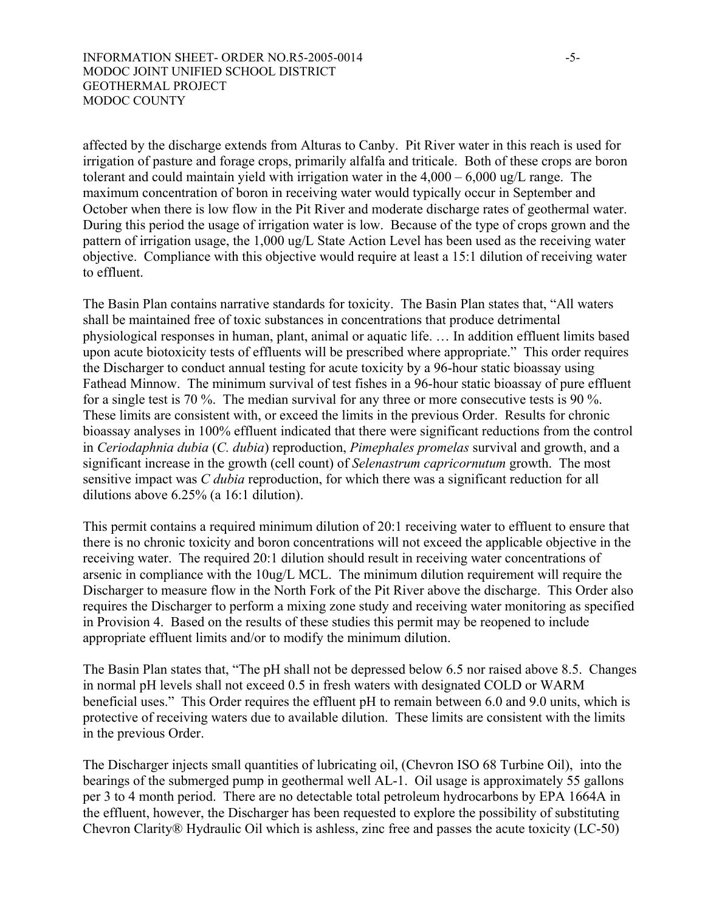affected by the discharge extends from Alturas to Canby. Pit River water in this reach is used for irrigation of pasture and forage crops, primarily alfalfa and triticale. Both of these crops are boron tolerant and could maintain yield with irrigation water in the  $4,000 - 6,000$  ug/L range. The maximum concentration of boron in receiving water would typically occur in September and October when there is low flow in the Pit River and moderate discharge rates of geothermal water. During this period the usage of irrigation water is low. Because of the type of crops grown and the pattern of irrigation usage, the 1,000 ug/L State Action Level has been used as the receiving water objective. Compliance with this objective would require at least a 15:1 dilution of receiving water to effluent.

The Basin Plan contains narrative standards for toxicity. The Basin Plan states that, "All waters shall be maintained free of toxic substances in concentrations that produce detrimental physiological responses in human, plant, animal or aquatic life. … In addition effluent limits based upon acute biotoxicity tests of effluents will be prescribed where appropriate." This order requires the Discharger to conduct annual testing for acute toxicity by a 96-hour static bioassay using Fathead Minnow. The minimum survival of test fishes in a 96-hour static bioassay of pure effluent for a single test is 70 %. The median survival for any three or more consecutive tests is 90 %. These limits are consistent with, or exceed the limits in the previous Order. Results for chronic bioassay analyses in 100% effluent indicated that there were significant reductions from the control in *Ceriodaphnia dubia* (*C. dubia*) reproduction, *Pimephales promelas* survival and growth, and a significant increase in the growth (cell count) of *Selenastrum capricornutum* growth. The most sensitive impact was *C dubia* reproduction, for which there was a significant reduction for all dilutions above 6.25% (a 16:1 dilution).

This permit contains a required minimum dilution of 20:1 receiving water to effluent to ensure that there is no chronic toxicity and boron concentrations will not exceed the applicable objective in the receiving water. The required 20:1 dilution should result in receiving water concentrations of arsenic in compliance with the 10ug/L MCL. The minimum dilution requirement will require the Discharger to measure flow in the North Fork of the Pit River above the discharge. This Order also requires the Discharger to perform a mixing zone study and receiving water monitoring as specified in Provision 4. Based on the results of these studies this permit may be reopened to include appropriate effluent limits and/or to modify the minimum dilution.

The Basin Plan states that, "The pH shall not be depressed below 6.5 nor raised above 8.5. Changes in normal pH levels shall not exceed 0.5 in fresh waters with designated COLD or WARM beneficial uses." This Order requires the effluent pH to remain between 6.0 and 9.0 units, which is protective of receiving waters due to available dilution. These limits are consistent with the limits in the previous Order.

The Discharger injects small quantities of lubricating oil, (Chevron ISO 68 Turbine Oil), into the bearings of the submerged pump in geothermal well AL-1. Oil usage is approximately 55 gallons per 3 to 4 month period. There are no detectable total petroleum hydrocarbons by EPA 1664A in the effluent, however, the Discharger has been requested to explore the possibility of substituting Chevron Clarity® Hydraulic Oil which is ashless, zinc free and passes the acute toxicity (LC-50)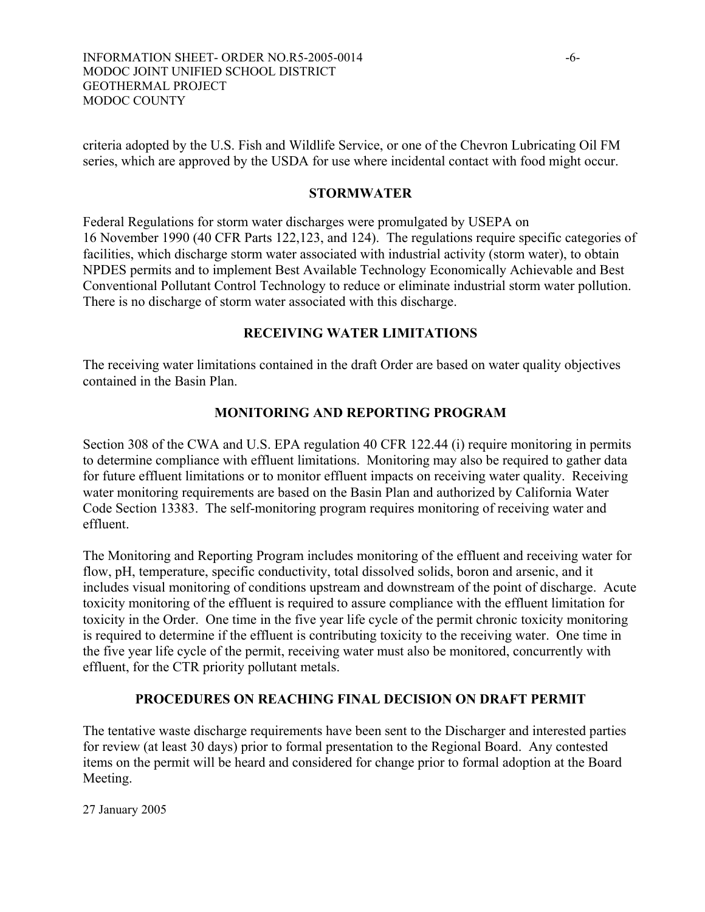criteria adopted by the U.S. Fish and Wildlife Service, or one of the Chevron Lubricating Oil FM series, which are approved by the USDA for use where incidental contact with food might occur.

### **STORMWATER**

Federal Regulations for storm water discharges were promulgated by USEPA on 16 November 1990 (40 CFR Parts 122,123, and 124). The regulations require specific categories of facilities, which discharge storm water associated with industrial activity (storm water), to obtain NPDES permits and to implement Best Available Technology Economically Achievable and Best Conventional Pollutant Control Technology to reduce or eliminate industrial storm water pollution. There is no discharge of storm water associated with this discharge.

# **RECEIVING WATER LIMITATIONS**

The receiving water limitations contained in the draft Order are based on water quality objectives contained in the Basin Plan.

# **MONITORING AND REPORTING PROGRAM**

Section 308 of the CWA and U.S. EPA regulation 40 CFR 122.44 (i) require monitoring in permits to determine compliance with effluent limitations. Monitoring may also be required to gather data for future effluent limitations or to monitor effluent impacts on receiving water quality. Receiving water monitoring requirements are based on the Basin Plan and authorized by California Water Code Section 13383. The self-monitoring program requires monitoring of receiving water and effluent.

The Monitoring and Reporting Program includes monitoring of the effluent and receiving water for flow, pH, temperature, specific conductivity, total dissolved solids, boron and arsenic, and it includes visual monitoring of conditions upstream and downstream of the point of discharge. Acute toxicity monitoring of the effluent is required to assure compliance with the effluent limitation for toxicity in the Order. One time in the five year life cycle of the permit chronic toxicity monitoring is required to determine if the effluent is contributing toxicity to the receiving water. One time in the five year life cycle of the permit, receiving water must also be monitored, concurrently with effluent, for the CTR priority pollutant metals.

## **PROCEDURES ON REACHING FINAL DECISION ON DRAFT PERMIT**

The tentative waste discharge requirements have been sent to the Discharger and interested parties for review (at least 30 days) prior to formal presentation to the Regional Board. Any contested items on the permit will be heard and considered for change prior to formal adoption at the Board Meeting.

27 January 2005